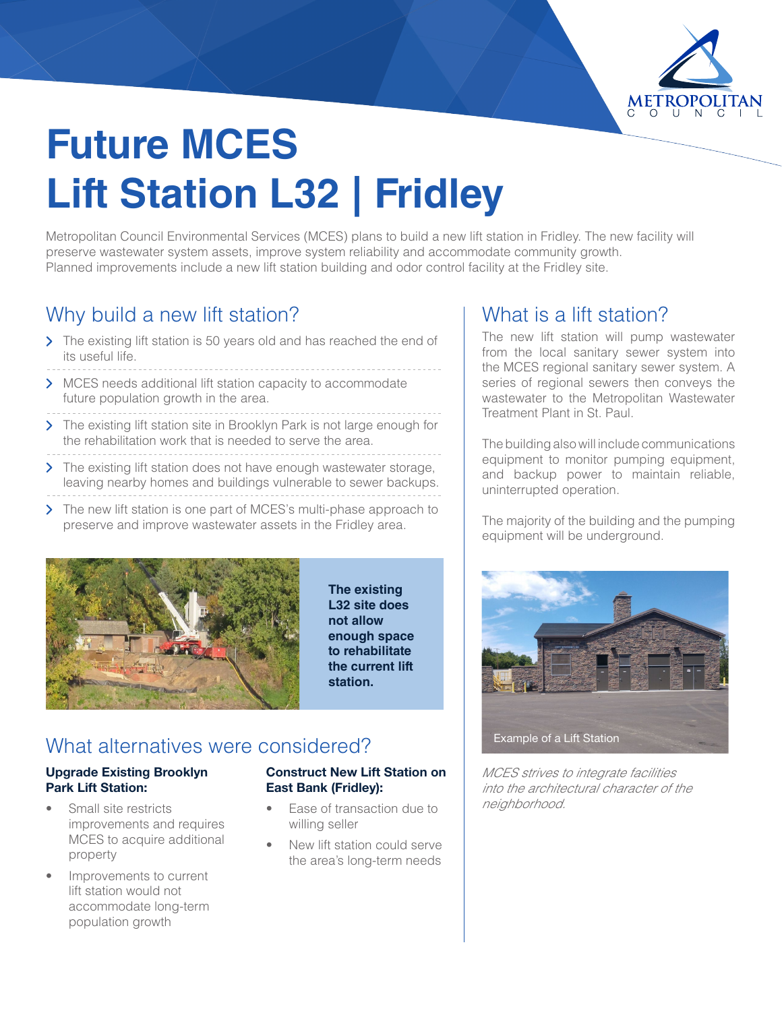

# **Future MCES Lift Station L32 | Fridley**

Metropolitan Council Environmental Services (MCES) plans to build a new lift station in Fridley. The new facility will preserve wastewater system assets, improve system reliability and accommodate community growth. Planned improvements include a new lift station building and odor control facility at the Fridley site.

# Why build a new lift station?

- > The existing lift station is 50 years old and has reached the end of its useful life.
- > MCES needs additional lift station capacity to accommodate future population growth in the area.
- > The existing lift station site in Brooklyn Park is not large enough for the rehabilitation work that is needed to serve the area.
- > The existing lift station does not have enough wastewater storage, leaving nearby homes and buildings vulnerable to sewer backups.
- > The new lift station is one part of MCES's multi-phase approach to preserve and improve wastewater assets in the Fridley area.



**The existing L32 site does not allow enough space to rehabilitate the current lift station.**

## What alternatives were considered?

#### Upgrade Existing Brooklyn Park Lift Station:

- Small site restricts improvements and requires MCES to acquire additional property
- Improvements to current lift station would not accommodate long-term population growth

#### Construct New Lift Station on East Bank (Fridley):

- Ease of transaction due to willing seller
- New lift station could serve the area's long-term needs

## What is a lift station?

The new lift station will pump wastewater from the local sanitary sewer system into the MCES regional sanitary sewer system. A series of regional sewers then conveys the wastewater to the Metropolitan Wastewater Treatment Plant in St. Paul.

The building also will include communications equipment to monitor pumping equipment. and backup power to maintain reliable, uninterrupted operation.

The majority of the building and the pumping equipment will be underground.



*MCES strives to integrate facilities into the architectural character of the neighborhood.*